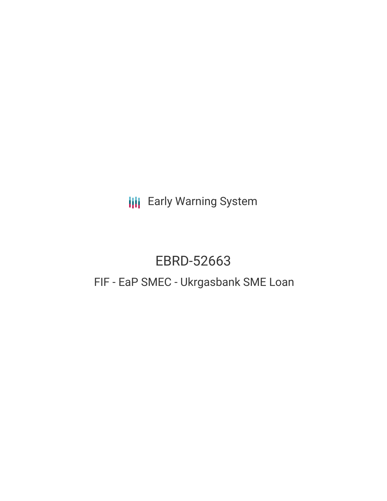**III** Early Warning System

# EBRD-52663

# FIF - EaP SMEC - Ukrgasbank SME Loan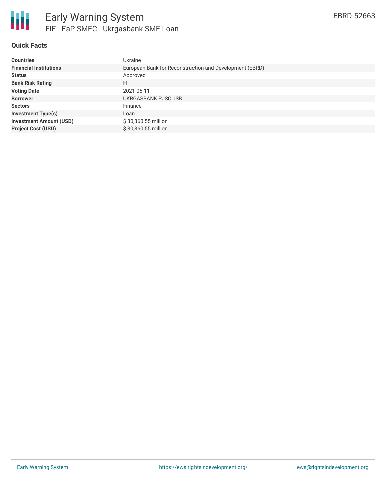

## **Quick Facts**

| <b>Countries</b>               | Ukraine                                                 |
|--------------------------------|---------------------------------------------------------|
| <b>Financial Institutions</b>  | European Bank for Reconstruction and Development (EBRD) |
| <b>Status</b>                  | Approved                                                |
| <b>Bank Risk Rating</b>        | FI                                                      |
| <b>Voting Date</b>             | 2021-05-11                                              |
| <b>Borrower</b>                | UKRGASBANK PJSC JSB                                     |
| <b>Sectors</b>                 | Finance                                                 |
| <b>Investment Type(s)</b>      | Loan                                                    |
| <b>Investment Amount (USD)</b> | \$30,360.55 million                                     |
| <b>Project Cost (USD)</b>      | \$30,360.55 million                                     |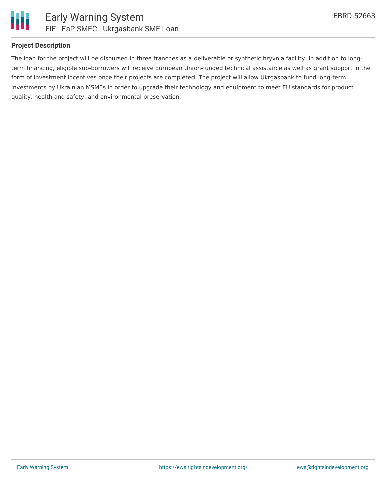

#### **Project Description**

The loan for the project will be disbursed in three tranches as a deliverable or synthetic hryvnia facility. In addition to longterm financing, eligible sub-borrowers will receive European Union-funded technical assistance as well as grant support in the form of investment incentives once their projects are completed. The project will allow Ukrgasbank to fund long-term investments by Ukrainian MSMEs in order to upgrade their technology and equipment to meet EU standards for product quality, health and safety, and environmental preservation.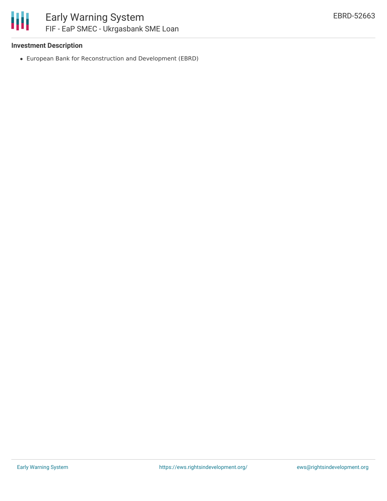### **Investment Description**

European Bank for Reconstruction and Development (EBRD)